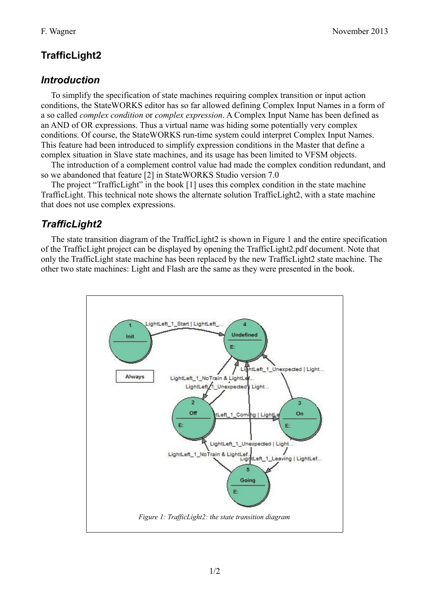# **TrafficLight2**

#### *Introduction*

To simplify the specification of state machines requiring complex transition or input action conditions, the StateWORKS editor has so far allowed defining Complex Input Names in a form of a so called *complex condition* or *complex expression*. A Complex Input Name has been defined as an AND of OR expressions. Thus a virtual name was hiding some potentially very complex conditions. Of course, the StateWORKS run-time system could interpret Complex Input Names. This feature had been introduced to simplify expression conditions in the Master that define a complex situation in Slave state machines, and its usage has been limited to VFSM objects.

The introduction of a complement control value had made the complex condition redundant, and so we abandoned that feature [2] in StateWORKS Studio version 7.0

The project "TrafficLight" in the book [1] uses this complex condition in the state machine TrafficLight. This technical note shows the alternate solution TrafficLight2, with a state machine that does not use complex expressions.

## *TrafficLight2*

The state transition diagram of the TrafficLight2 is shown in Figure 1 and the entire specification of the TrafficLight project can be displayed by opening the TrafficLight2.pdf document. Note that only the TrafficLight state machine has been replaced by the new TrafficLight2 state machine. The other two state machines: Light and Flash are the same as they were presented in the book.